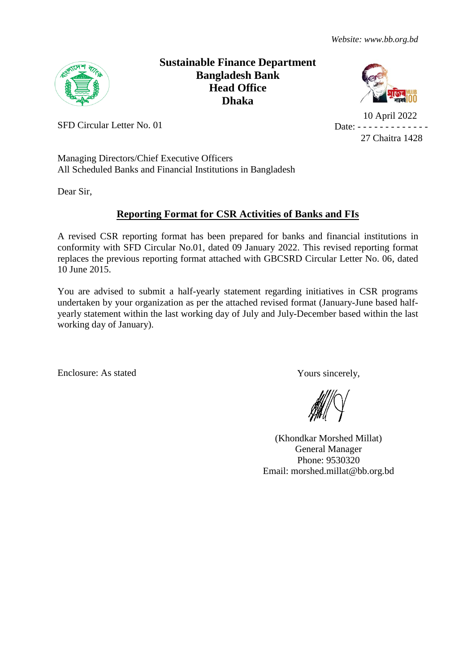

# **Sustainable Finance Department Bangladesh Bank Head Office Dhaka**



 10 April 2022 Date: - - - - - - - - -27 Chaitra 1428

SFD Circular Letter No. 01

Managing Directors/Chief Executive Officers All Scheduled Banks and Financial Institutions in Bangladesh

Dear Sir,

# **Reporting Format for CSR Activities of Banks and FIs**

A revised CSR reporting format has been prepared for banks and financial institutions in conformity with SFD Circular No.01, dated 09 January 2022. This revised reporting format replaces the previous reporting format attached with GBCSRD Circular Letter No. 06, dated 10 June 2015.

You are advised to submit a half-yearly statement regarding initiatives in CSR programs undertaken by your organization as per the attached revised format (January-June based halfyearly statement within the last working day of July and July-December based within the last working day of January).

Enclosure: As stated Yours sincerely,

(Khondkar Morshed Millat) General Manager Phone: 9530320 Email: morshed.millat@bb.org.bd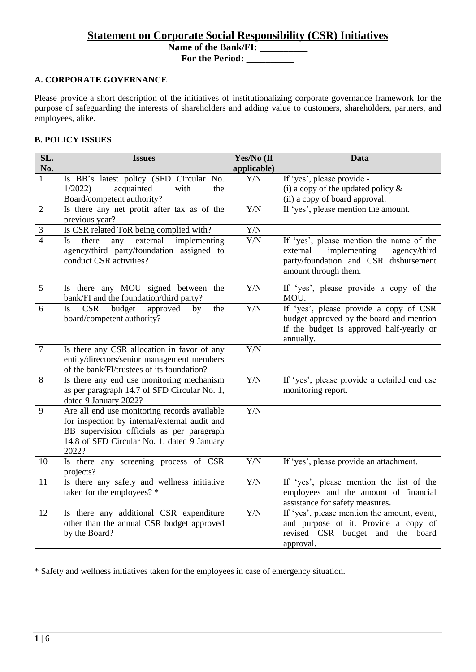# **Statement on Corporate Social Responsibility (CSR) Initiatives**

**Name of the Bank/FI: \_\_\_\_\_\_\_\_\_\_**

**For the Period: \_\_\_\_\_\_\_\_\_\_**

# **A. CORPORATE GOVERNANCE**

Please provide a short description of the initiatives of institutionalizing corporate governance framework for the purpose of safeguarding the interests of shareholders and adding value to customers, shareholders, partners, and employees, alike.

# **B. POLICY ISSUES**

| SL.<br>No.       | <b>Issues</b>                                                                                                                                                                                      | Yes/No (If<br>applicable) | <b>Data</b>                                                                                                                                           |
|------------------|----------------------------------------------------------------------------------------------------------------------------------------------------------------------------------------------------|---------------------------|-------------------------------------------------------------------------------------------------------------------------------------------------------|
| $\mathbf{1}$     | Is BB's latest policy (SFD Circular No.<br>acquainted<br>1/2022<br>with<br>the<br>Board/competent authority?                                                                                       | Y/N                       | If 'yes', please provide -<br>(i) a copy of the updated policy $\&$<br>(ii) a copy of board approval.                                                 |
| $\overline{2}$   | Is there any net profit after tax as of the<br>previous year?                                                                                                                                      | $\overline{Y/N}$          | If 'yes', please mention the amount.                                                                                                                  |
| 3                | Is CSR related ToR being complied with?                                                                                                                                                            | ${\rm Y/N}$               |                                                                                                                                                       |
| $\overline{4}$   | there<br>external<br>implementing<br>Is<br>any<br>agency/third party/foundation assigned to<br>conduct CSR activities?                                                                             | ${\rm Y/N}$               | If 'yes', please mention the name of the<br>implementing<br>external<br>agency/third<br>party/foundation and CSR disbursement<br>amount through them. |
| 5                | Is there any MOU signed between the<br>bank/FI and the foundation/third party?                                                                                                                     | Y/N                       | If 'yes', please provide a copy of the<br>MOU.                                                                                                        |
| 6                | budget<br><b>CSR</b><br>approved<br><b>Is</b><br>by<br>the<br>board/competent authority?                                                                                                           | Y/N                       | If 'yes', please provide a copy of CSR<br>budget approved by the board and mention<br>if the budget is approved half-yearly or<br>annually.           |
| $\boldsymbol{7}$ | Is there any CSR allocation in favor of any<br>entity/directors/senior management members<br>of the bank/FI/trustees of its foundation?                                                            | $\overline{Y/N}$          |                                                                                                                                                       |
| 8                | Is there any end use monitoring mechanism<br>as per paragraph 14.7 of SFD Circular No. 1,<br>dated 9 January 2022?                                                                                 | Y/N                       | If 'yes', please provide a detailed end use<br>monitoring report.                                                                                     |
| 9                | Are all end use monitoring records available<br>for inspection by internal/external audit and<br>BB supervision officials as per paragraph<br>14.8 of SFD Circular No. 1, dated 9 January<br>2022? | Y/N                       |                                                                                                                                                       |
| 10               | Is there any screening process of CSR<br>projects?                                                                                                                                                 | $\overline{Y/N}$          | If 'yes', please provide an attachment.                                                                                                               |
| 11               | Is there any safety and wellness initiative<br>taken for the employees? *                                                                                                                          | Y/N                       | If 'yes', please mention the list of the<br>employees and the amount of financial<br>assistance for safety measures.                                  |
| 12               | Is there any additional CSR expenditure<br>other than the annual CSR budget approved<br>by the Board?                                                                                              | Y/N                       | If 'yes', please mention the amount, event,<br>and purpose of it. Provide a copy of<br>revised CSR budget and the board<br>approval.                  |

\* Safety and wellness initiatives taken for the employees in case of emergency situation.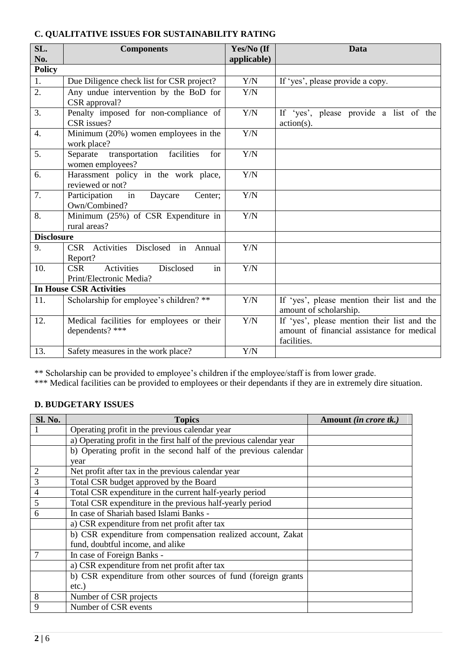# **C. QUALITATIVE ISSUES FOR SUSTAINABILITY RATING**

| SL.<br>No.        | <b>Components</b>                                                      | Yes/No (If<br>applicable) | Data                                                                                                     |
|-------------------|------------------------------------------------------------------------|---------------------------|----------------------------------------------------------------------------------------------------------|
| <b>Policy</b>     |                                                                        |                           |                                                                                                          |
| 1.                | Due Diligence check list for CSR project?                              | Y/N                       | If 'yes', please provide a copy.                                                                         |
| 2.                | Any undue intervention by the BoD for<br>CSR approval?                 | Y/N                       |                                                                                                          |
| 3.                | Penalty imposed for non-compliance of<br>CSR issues?                   | Y/N                       | If 'yes', please provide a list of the<br>$action(s)$ .                                                  |
| 4.                | Minimum $(20\%)$ women employees in the<br>work place?                 | Y/N                       |                                                                                                          |
| 5.                | Separate transportation facilities<br>for<br>women employees?          | Y/N                       |                                                                                                          |
| 6.                | Harassment policy in the work place,<br>reviewed or not?               | Y/N                       |                                                                                                          |
| 7.                | Participation<br>Daycare<br>in<br>Center;<br>Own/Combined?             | Y/N                       |                                                                                                          |
| 8.                | Minimum (25%) of CSR Expenditure in<br>rural areas?                    | Y/N                       |                                                                                                          |
| <b>Disclosure</b> |                                                                        |                           |                                                                                                          |
| 9.                | CSR Activities Disclosed in Annual<br>Report?                          | Y/N                       |                                                                                                          |
| 10.               | <b>CSR</b><br>Activities<br>Disclosed<br>in<br>Print/Electronic Media? | Y/N                       |                                                                                                          |
|                   | <b>In House CSR Activities</b>                                         |                           |                                                                                                          |
| 11.               | Scholarship for employee's children? **                                | Y/N                       | If 'yes', please mention their list and the<br>amount of scholarship.                                    |
| 12.               | Medical facilities for employees or their<br>dependents? ***           | Y/N                       | If 'yes', please mention their list and the<br>amount of financial assistance for medical<br>facilities. |
| 13.               | Safety measures in the work place?                                     | Y/N                       |                                                                                                          |

\*\* Scholarship can be provided to employee's children if the employee/staff is from lower grade.

\*\*\* Medical facilities can be provided to employees or their dependants if they are in extremely dire situation.

### **D. BUDGETARY ISSUES**

| Sl. No.        | <b>Topics</b>                                                       | Amount <i>(in crore tk.)</i> |
|----------------|---------------------------------------------------------------------|------------------------------|
|                | Operating profit in the previous calendar year                      |                              |
|                | a) Operating profit in the first half of the previous calendar year |                              |
|                | b) Operating profit in the second half of the previous calendar     |                              |
|                | year                                                                |                              |
| $\overline{2}$ | Net profit after tax in the previous calendar year                  |                              |
| 3              | Total CSR budget approved by the Board                              |                              |
| $\overline{4}$ | Total CSR expenditure in the current half-yearly period             |                              |
| 5              | Total CSR expenditure in the previous half-yearly period            |                              |
| 6              | In case of Shariah based Islami Banks -                             |                              |
|                | a) CSR expenditure from net profit after tax                        |                              |
|                | b) CSR expenditure from compensation realized account, Zakat        |                              |
|                | fund, doubtful income, and alike                                    |                              |
|                | In case of Foreign Banks -                                          |                              |
|                | a) CSR expenditure from net profit after tax                        |                              |
|                | b) CSR expenditure from other sources of fund (foreign grants       |                              |
|                | $etc.$ )                                                            |                              |
| 8              | Number of CSR projects                                              |                              |
| 9              | Number of CSR events                                                |                              |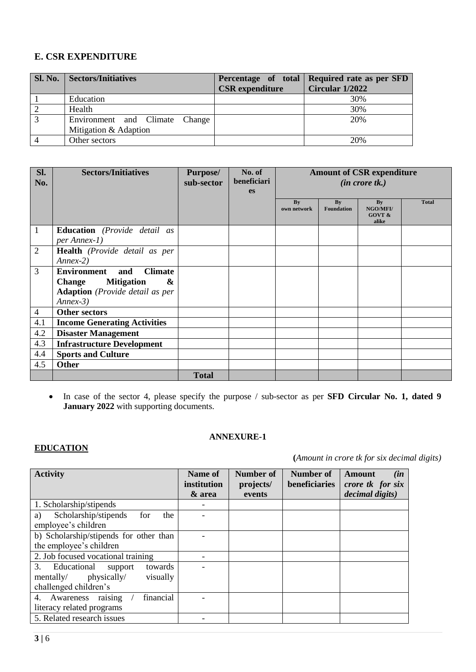# **E. CSR EXPENDITURE**

|                | Sl. No.   Sectors/Initiatives                           | <b>CSR</b> expenditure | Percentage of total Required rate as per SFD<br>Circular 1/2022 |
|----------------|---------------------------------------------------------|------------------------|-----------------------------------------------------------------|
|                | Education                                               |                        | 30%                                                             |
|                | Health                                                  |                        | 30%                                                             |
| $\overline{3}$ | Environment and Climate Change<br>Mitigation & Adaption |                        | 20%                                                             |
|                | Other sectors                                           |                        | 20%                                                             |

| Sl.<br>No.     | <b>Sectors/Initiatives</b>                                                                                                                     | <b>Purpose/</b><br>sub-sector | No. of<br>beneficiari<br>es | <b>Amount of CSR expenditure</b><br>$(in \; correct \; tk.)$ |                         |                                                     |              |
|----------------|------------------------------------------------------------------------------------------------------------------------------------------------|-------------------------------|-----------------------------|--------------------------------------------------------------|-------------------------|-----------------------------------------------------|--------------|
|                |                                                                                                                                                |                               |                             | By<br>own network                                            | By<br><b>Foundation</b> | By<br><b>NGO/MFI/</b><br><b>GOVT &amp;</b><br>alike | <b>Total</b> |
| $\mathbf{1}$   | <b>Education</b> (Provide detail as<br>per Annex-1)                                                                                            |                               |                             |                                                              |                         |                                                     |              |
| 2              | Health (Provide detail as per<br>$Annex-2)$                                                                                                    |                               |                             |                                                              |                         |                                                     |              |
| 3              | <b>Environment</b><br><b>Climate</b><br>and<br><b>Mitigation</b><br>&<br><b>Change</b><br><b>Adaption</b> (Provide detail as per<br>$Annex-3)$ |                               |                             |                                                              |                         |                                                     |              |
| $\overline{4}$ | <b>Other sectors</b>                                                                                                                           |                               |                             |                                                              |                         |                                                     |              |
| 4.1            | <b>Income Generating Activities</b>                                                                                                            |                               |                             |                                                              |                         |                                                     |              |
| 4.2            | <b>Disaster Management</b>                                                                                                                     |                               |                             |                                                              |                         |                                                     |              |
| 4.3            | <b>Infrastructure Development</b>                                                                                                              |                               |                             |                                                              |                         |                                                     |              |
| 4.4            | <b>Sports and Culture</b>                                                                                                                      |                               |                             |                                                              |                         |                                                     |              |
| 4.5            | <b>Other</b>                                                                                                                                   |                               |                             |                                                              |                         |                                                     |              |
|                |                                                                                                                                                | <b>Total</b>                  |                             |                                                              |                         |                                                     |              |

 In case of the sector 4, please specify the purpose / sub-sector as per **SFD Circular No. 1, dated 9 January 2022** with supporting documents.

**ANNEXURE-1**

# **EDUCATION**

**(***Amount in crore tk for six decimal digits)*

| <b>Activity</b>                                                 | Name of<br>institution<br>& area | Number of<br>projects/<br>events | Number of<br>beneficiaries | (in<br>Amount<br>crore tk for six<br>decimal digits) |
|-----------------------------------------------------------------|----------------------------------|----------------------------------|----------------------------|------------------------------------------------------|
| 1. Scholarship/stipends                                         |                                  |                                  |                            |                                                      |
| Scholarship/stipends<br>the<br>a)<br>for<br>employee's children |                                  |                                  |                            |                                                      |
| b) Scholarship/stipends for other than                          |                                  |                                  |                            |                                                      |
| the employee's children                                         |                                  |                                  |                            |                                                      |
| 2. Job focused vocational training                              |                                  |                                  |                            |                                                      |
| 3.<br>towards<br>Educational<br>support                         |                                  |                                  |                            |                                                      |
| physically/<br>mentally/<br>visually                            |                                  |                                  |                            |                                                      |
| challenged children's                                           |                                  |                                  |                            |                                                      |
| raising<br>financial<br>4. Awareness                            |                                  |                                  |                            |                                                      |
| literacy related programs                                       |                                  |                                  |                            |                                                      |
| 5. Related research issues                                      |                                  |                                  |                            |                                                      |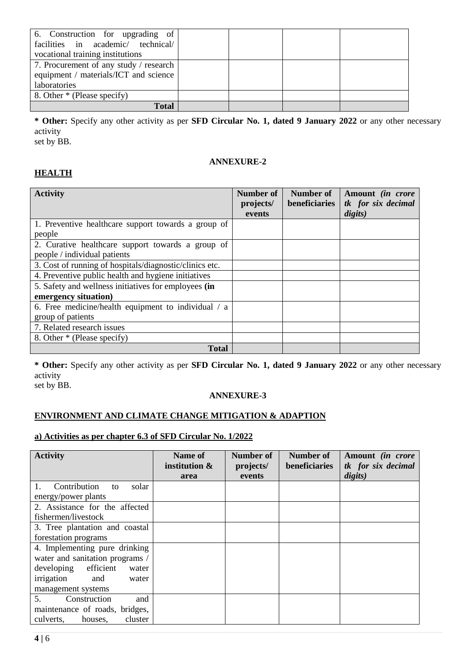| 6. Construction for upgrading of<br>facilities in academic/ technical/<br>vocational training institutions |  |  |
|------------------------------------------------------------------------------------------------------------|--|--|
| 7. Procurement of any study / research<br>equipment / materials/ICT and science<br>laboratories            |  |  |
| 8. Other * (Please specify)                                                                                |  |  |
| <b>Total</b>                                                                                               |  |  |

**\* Other:** Specify any other activity as per **SFD Circular No. 1, dated 9 January 2022** or any other necessary activity set by BB.

# **ANNEXURE-2**

# **HEALTH**

| <b>Activity</b>                                                                   | Number of<br>projects/<br>events | Number of<br>beneficiaries | Amount (in crore<br>tk for six decimal<br>digits) |
|-----------------------------------------------------------------------------------|----------------------------------|----------------------------|---------------------------------------------------|
| 1. Preventive healthcare support towards a group of<br>people                     |                                  |                            |                                                   |
| 2. Curative healthcare support towards a group of<br>people / individual patients |                                  |                            |                                                   |
| 3. Cost of running of hospitals/diagnostic/clinics etc.                           |                                  |                            |                                                   |
| 4. Preventive public health and hygiene initiatives                               |                                  |                            |                                                   |
| 5. Safety and wellness initiatives for employees (in                              |                                  |                            |                                                   |
| emergency situation)                                                              |                                  |                            |                                                   |
| 6. Free medicine/health equipment to individual / a                               |                                  |                            |                                                   |
| group of patients                                                                 |                                  |                            |                                                   |
| 7. Related research issues                                                        |                                  |                            |                                                   |
| 8. Other * (Please specify)                                                       |                                  |                            |                                                   |
| <b>Total</b>                                                                      |                                  |                            |                                                   |

**\* Other:** Specify any other activity as per **SFD Circular No. 1, dated 9 January 2022** or any other necessary activity set by BB.

### **ANNEXURE-3**

# **ENVIRONMENT AND CLIMATE CHANGE MITIGATION & ADAPTION**

# **a) Activities as per chapter 6.3 of SFD Circular No. 1/2022**

| <b>Activity</b>                                                                                                                                          | Name of<br>institution &<br>area | Number of<br>projects/<br>events | Number of<br>beneficiaries | Amount (in crore<br>tk for six decimal<br>digits) |
|----------------------------------------------------------------------------------------------------------------------------------------------------------|----------------------------------|----------------------------------|----------------------------|---------------------------------------------------|
| Contribution<br>solar<br>to<br>energy/power plants                                                                                                       |                                  |                                  |                            |                                                   |
| 2. Assistance for the affected<br>fishermen/livestock                                                                                                    |                                  |                                  |                            |                                                   |
| 3. Tree plantation and coastal<br>forestation programs                                                                                                   |                                  |                                  |                            |                                                   |
| 4. Implementing pure drinking<br>water and sanitation programs /<br>efficient<br>developing<br>water<br>irrigation<br>and<br>water<br>management systems |                                  |                                  |                            |                                                   |
| 5 <sub>1</sub><br>Construction<br>and<br>maintenance of roads, bridges,<br>cluster<br>culverts,<br>houses.                                               |                                  |                                  |                            |                                                   |